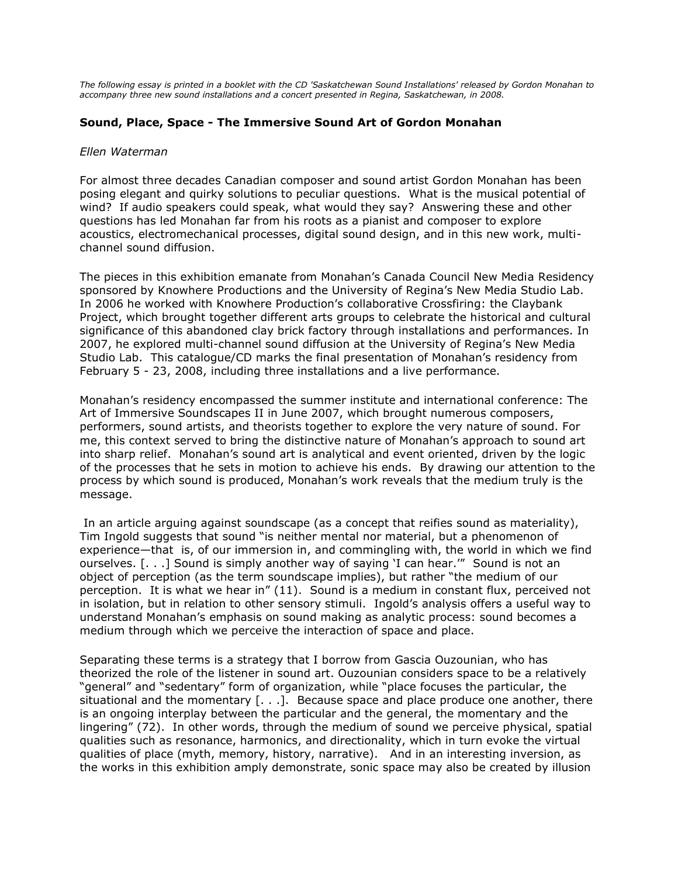*The following essay is printed in a booklet with the CD 'Saskatchewan Sound Installations' released by Gordon Monahan to accompany three new sound installations and a concert presented in Regina, Saskatchewan, in 2008.*

## **Sound, Place, Space - The Immersive Sound Art of Gordon Monahan**

## *Ellen Waterman*

For almost three decades Canadian composer and sound artist Gordon Monahan has been posing elegant and quirky solutions to peculiar questions. What is the musical potential of wind? If audio speakers could speak, what would they say? Answering these and other questions has led Monahan far from his roots as a pianist and composer to explore acoustics, electromechanical processes, digital sound design, and in this new work, multichannel sound diffusion.

The pieces in this exhibition emanate from Monahan's Canada Council New Media Residency sponsored by Knowhere Productions and the University of Regina's New Media Studio Lab. In 2006 he worked with Knowhere Production's collaborative Crossfiring: the Claybank Project, which brought together different arts groups to celebrate the historical and cultural significance of this abandoned clay brick factory through installations and performances. In 2007, he explored multi-channel sound diffusion at the University of Regina's New Media Studio Lab. This catalogue/CD marks the final presentation of Monahan's residency from February 5 - 23, 2008, including three installations and a live performance.

Monahan's residency encompassed the summer institute and international conference: The Art of Immersive Soundscapes II in June 2007, which brought numerous composers, performers, sound artists, and theorists together to explore the very nature of sound. For me, this context served to bring the distinctive nature of Monahan's approach to sound art into sharp relief. Monahan's sound art is analytical and event oriented, driven by the logic of the processes that he sets in motion to achieve his ends. By drawing our attention to the process by which sound is produced, Monahan's work reveals that the medium truly is the message.

In an article arguing against soundscape (as a concept that reifies sound as materiality), Tim Ingold suggests that sound "is neither mental nor material, but a phenomenon of experience—that is, of our immersion in, and commingling with, the world in which we find ourselves. [. . .] Sound is simply another way of saying 'I can hear.'" Sound is not an object of perception (as the term soundscape implies), but rather "the medium of our perception. It is what we hear in" (11). Sound is a medium in constant flux, perceived not in isolation, but in relation to other sensory stimuli. Ingold's analysis offers a useful way to understand Monahan's emphasis on sound making as analytic process: sound becomes a medium through which we perceive the interaction of space and place.

Separating these terms is a strategy that I borrow from Gascia Ouzounian, who has theorized the role of the listener in sound art. Ouzounian considers space to be a relatively "general" and "sedentary" form of organization, while "place focuses the particular, the situational and the momentary [. . .]. Because space and place produce one another, there is an ongoing interplay between the particular and the general, the momentary and the lingering" (72). In other words, through the medium of sound we perceive physical, spatial qualities such as resonance, harmonics, and directionality, which in turn evoke the virtual qualities of place (myth, memory, history, narrative). And in an interesting inversion, as the works in this exhibition amply demonstrate, sonic space may also be created by illusion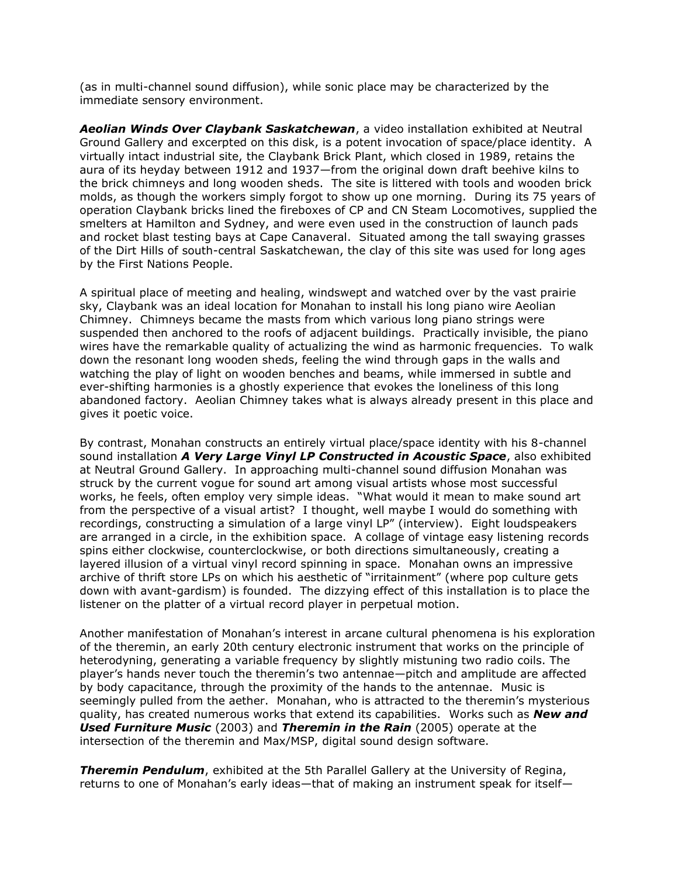(as in multi-channel sound diffusion), while sonic place may be characterized by the immediate sensory environment.

*Aeolian Winds Over Claybank Saskatchewan*, a video installation exhibited at Neutral Ground Gallery and excerpted on this disk, is a potent invocation of space/place identity. A virtually intact industrial site, the Claybank Brick Plant, which closed in 1989, retains the aura of its heyday between 1912 and 1937—from the original down draft beehive kilns to the brick chimneys and long wooden sheds. The site is littered with tools and wooden brick molds, as though the workers simply forgot to show up one morning. During its 75 years of operation Claybank bricks lined the fireboxes of CP and CN Steam Locomotives, supplied the smelters at Hamilton and Sydney, and were even used in the construction of launch pads and rocket blast testing bays at Cape Canaveral. Situated among the tall swaying grasses of the Dirt Hills of south-central Saskatchewan, the clay of this site was used for long ages by the First Nations People.

A spiritual place of meeting and healing, windswept and watched over by the vast prairie sky, Claybank was an ideal location for Monahan to install his long piano wire Aeolian Chimney. Chimneys became the masts from which various long piano strings were suspended then anchored to the roofs of adjacent buildings. Practically invisible, the piano wires have the remarkable quality of actualizing the wind as harmonic frequencies. To walk down the resonant long wooden sheds, feeling the wind through gaps in the walls and watching the play of light on wooden benches and beams, while immersed in subtle and ever-shifting harmonies is a ghostly experience that evokes the loneliness of this long abandoned factory. Aeolian Chimney takes what is always already present in this place and gives it poetic voice.

By contrast, Monahan constructs an entirely virtual place/space identity with his 8-channel sound installation *A Very Large Vinyl LP Constructed in Acoustic Space*, also exhibited at Neutral Ground Gallery. In approaching multi-channel sound diffusion Monahan was struck by the current vogue for sound art among visual artists whose most successful works, he feels, often employ very simple ideas. "What would it mean to make sound art from the perspective of a visual artist? I thought, well maybe I would do something with recordings, constructing a simulation of a large vinyl LP" (interview). Eight loudspeakers are arranged in a circle, in the exhibition space. A collage of vintage easy listening records spins either clockwise, counterclockwise, or both directions simultaneously, creating a layered illusion of a virtual vinyl record spinning in space. Monahan owns an impressive archive of thrift store LPs on which his aesthetic of "irritainment" (where pop culture gets down with avant-gardism) is founded. The dizzying effect of this installation is to place the listener on the platter of a virtual record player in perpetual motion.

Another manifestation of Monahan's interest in arcane cultural phenomena is his exploration of the theremin, an early 20th century electronic instrument that works on the principle of heterodyning, generating a variable frequency by slightly mistuning two radio coils. The player's hands never touch the theremin's two antennae—pitch and amplitude are affected by body capacitance, through the proximity of the hands to the antennae. Music is seemingly pulled from the aether. Monahan, who is attracted to the theremin's mysterious quality, has created numerous works that extend its capabilities. Works such as *New and Used Furniture Music* (2003) and *Theremin in the Rain* (2005) operate at the intersection of the theremin and Max/MSP, digital sound design software.

**Theremin Pendulum**, exhibited at the 5th Parallel Gallery at the University of Regina, returns to one of Monahan's early ideas—that of making an instrument speak for itself—